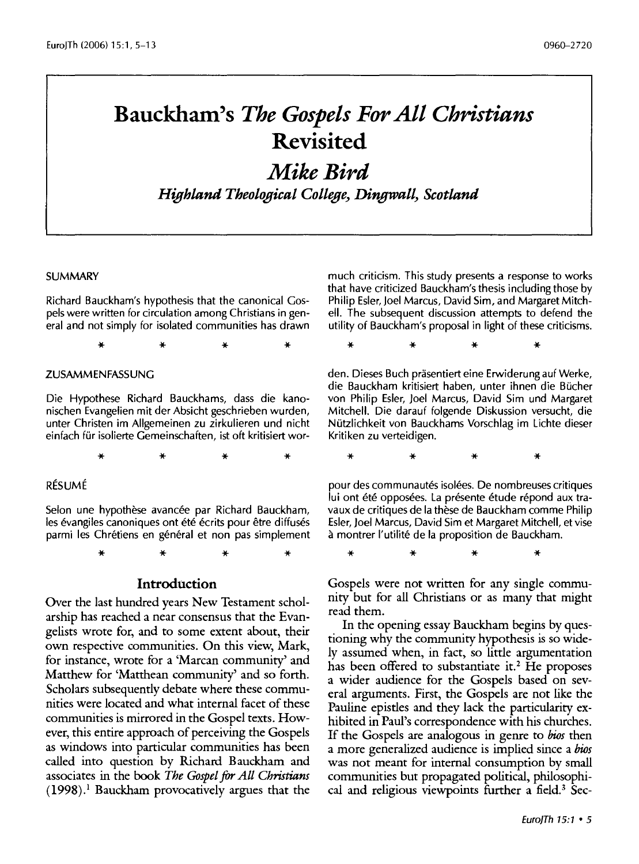# **Bauckham's** *The Gospels For All Christians*  **Revisited**

# *Mike Bird*

*Highland Theological* College~ Dingwall~ *Scotland* 

#### **SUMMARY**

Richard Bauckham's hypothesis that the canonical Gospels were written for circulation among Christians in general and not simply for isolated communities has drawn

\* \* \* \*

#### ZUSAMMENFASSUNG

Die Hypothese Richard Bauckhams, dass die kanonischen Evangelien mit der Absicht geschrieben wurden, unter Christen im Allgemeinen zu zirkulieren und nicht einfach für isolierte Gemeinschaften, ist oft kritisiert wor-

\* \* \* \*

\* \* \* \*

#### RESUME

Selon une hypothèse avancée par Richard Bauckham, les évangiles canoniques ont été écrits pour être diffusés parmi les Chrétiens en général et non pas simplement

**Introduction** 

Over the last hundred years New Testament scholarship has reached a near consensus that the Evangelists wrote for, and to some extent about, their own respective communities. On this view, Mark, for instance, wrote for a 'Marcan community' and Matthew for 'Matthean community' and so forth. Scholars subsequently debate where these communities were located and what internal facet of these communities is mirrored in the Gospel texts. However, this entire approach of perceiving the Gospels as windows into particular communities has been called into question by Richard Bauckham and associates in the book *The Gospel* for *All Christians*  (1998). 1 Bauckham provocatively argues that the

much criticism. This study presents a response to works that have criticized Bauckham's thesis including those by Philip Esler, Joel Marcus, David Sim, and Margaret Mitchell. The subsequent discussion attempts to defend the utility of Bauckham's proposal in light of these criticisms.

\* \* \* \* den. Dieses Buch präsentiert eine Erwiderung auf Werke, die Bauckham kritisiert haben, unter ihnen die Bucher von Philip Esler, Joel Marcus, David Sim und Margaret Mitchell. Die darauf folgende Diskussion versucht, die Nutzlichkeit von Bauckhams Vorschlag im Lichte dieser

\* \* \* \*

Kritiken zu verteidigen.

pour des communautés isolées. De nombreuses critiques lui ont été opposées. La présente étude répond aux travaux de critiques de la these de Bauckham comme Philip Esler, Joel Marcus, David Sim et Margaret Mitchell, et vise a montrer l'utilite de la proposition de Bauckham.

Gospels were not written for any single community but for all Christians or as many that might read them.

\* \* \* \*

In the opening essay Bauckham begins by questioning why the community hypothesis is so widely assumed when, in fact, so little argumentation has been offered to substantiate it.<sup>2</sup> He proposes a wider audience for the Gospels based on several arguments. First, the Gospels are not like the Pauline epistles and they lack the particularity exhibited in Paul's correspondence with his churches. If the Gospels are analogous in genre to *bios* then a more generalized audience is implied since a *bios*  was not meant for internal consumption by small communities but propagated political, philosophical and religious viewpoints further a field.<sup>3</sup> Sec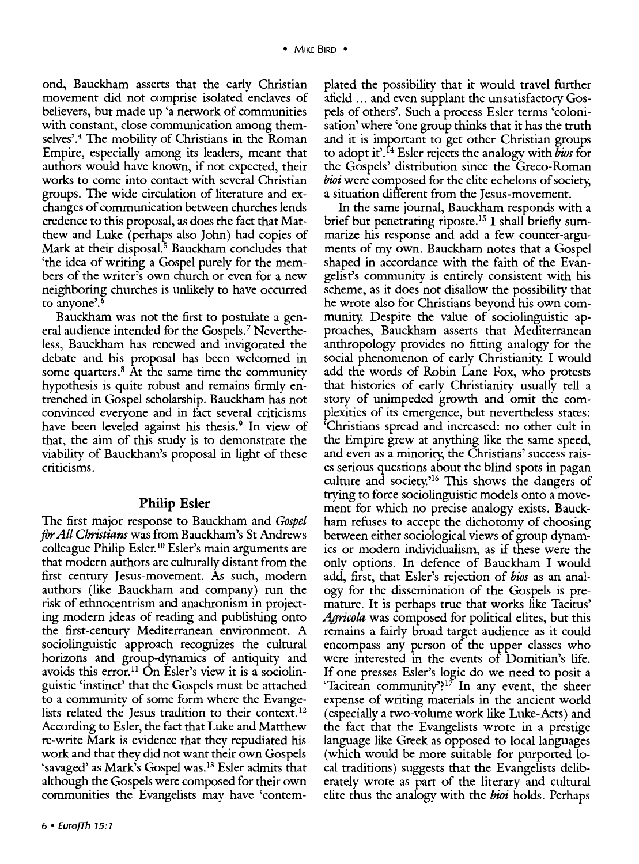ond, Bauckham asserts that the early Christian movement did not comprise isolated enclaves of believers, but made up 'a network of communities with constant, close communication among themselves'.4 The mobility of Christians in the Roman Empire, especially among its leaders, meant that authors would have known, if not expected, their works to come into contact with several Christian groups. The wide circulation of literature and exchanges of communication between churches lends credence to this proposal, as does the fact that Matthew and Luke (perhaps also John) had copies of Mark at their disposal.<sup>5</sup> Bauckham concludes that 'the idea of writing a Gospel purely for the members of the writer's own church or even for a new neighboring churches is unlikely to have occurred to anyone'.6

Bauckham was not the first to postulate a general audience intended for the Gospels.? Nevertheless, Bauckham has renewed and invigorated the debate and his proposal has been welcomed in some quarters.<sup>8</sup> At the same time the community hypothesis is quite robust and remains firmly entrenched in Gospel scholarship. Bauckham has not convinced everyone and in fact several criticisms have been leveled against his thesis.<sup>9</sup> In view of that, the aim of this study is to demonstrate the viability of Bauckham's proposal in light of these criticisms.

#### **Philip Esler**

The first major response to Bauckham and *Gospel*  for *All Christians* was from Bauckham's St Andrews colleague Philip Esler. 10 Esler's main arguments are that modern authors are culturally distant from the first century Jesus-movement. As such, modern authors (like Bauckham and company) run the risk of ethnocentrism and anachronism in projecting modern ideas of reading and publishing onto the first-century Mediterranean environment. A sociolinguistic approach recognizes the cultural horizons and group-dynamics of antiquity and avoids this error.<sup>11</sup> On Esler's view it is a sociolinguistic 'instinct' that the Gospels must be attached to a community of some form where the Evangelists related the Jesus tradition to their context.<sup>12</sup> According to Esler, the fact that Luke and Matthew re-write Mark is evidence that they repudiated his work and that they did not want their own Gospels 'savaged' as Mark's Gospel was. 13 Esler admits that although the Gospels were composed for their own communities the Evangelists may have 'contemplated the possibility that it would travel further afield ... and even supplant the unsatisfactory Gospels of others'. Such a process Esler terms 'colonisation' where 'one group thinks that it has the truth and it is important to get other Christian groups to adopt it'. 14 Esler rejects the analogy with *bios* for the Gospels' distribution since the Greco-Roman bioi were composed for the elite echelons of society. a situation different from the Jesus-movement.

In the same journal, Bauckham responds with a brief but penetrating riposte. 15 I shall briefly summarize his response and add a few counter-arguments of my own. Bauckham notes that a Gospel shaped in accordance with the faith of the Evangelist's community is entirely consistent with his scheme, as it does not disallow the possibility that he wrote also for Christians beyond his own community. Despite the value of sociolinguistic approaches, Bauckham asserts that Mediterranean anthropology provides no fitting analogy for the social phenomenon of early Christianity. I would add the words of Robin Lane Fox, who protests that histories of early Christianity usually tell a story of unimpeded growth and omit the complexities of its emergence, but nevertheless states: 'Christians spread and increased: no other cult in the Empire grew at anything like the same speed, and even as a minority, the Christians' success raises serious questions about the blind spots in pagan culture and society.'16 This shows the dangers of trying to force sociolinguistic models onto a movement for which no precise analogy exists. Bauckham refuses to accept the dichotomy of choosing between either sociological views of group dynamics or modern individualism, as if these were the only options. In defence of Bauckham I would add, first, that Esler's rejection of *bios* as an analogy for the dissemination of the Gospels is premature. It is perhaps true that works like Tacitus' *Agricola* was composed for political elites, but this remains a fairly broad target audience as it could encompass any person of the upper classes who were interested in the events of Domitian's life. If one presses Esler's logic do we need to posit a 'Tacitean community'?<sup>17</sup> In any event, the sheer expense of writing materials in the ancient world (especially a two-volume work like Luke-Acts) and the fact that the Evangelists wrote in a prestige language like Greek as opposed to local languages (which would be more suitable for purported local traditions) suggests that the Evangelists deliberately wrote as part of the literary and cultural elite thus the analogy with the *bioi* holds. Perhaps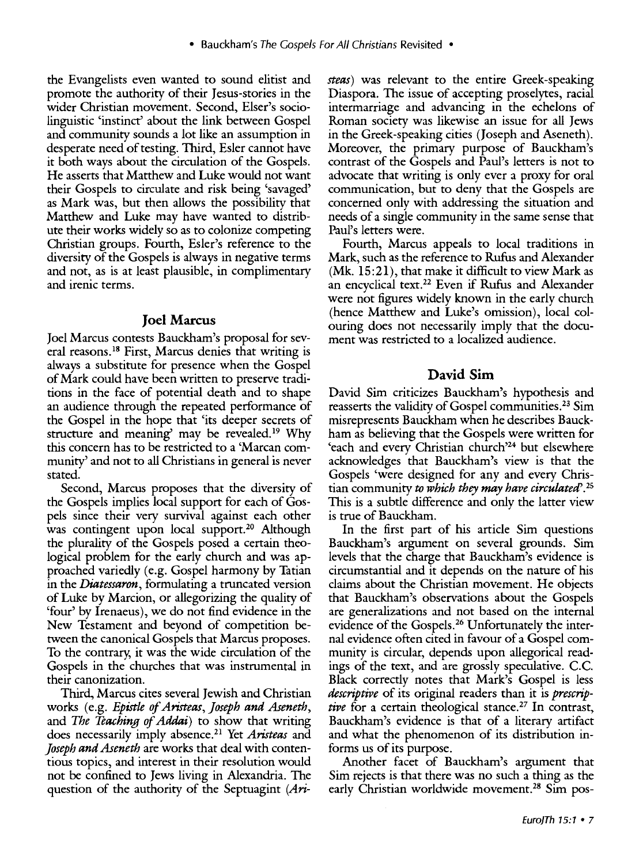the Evangelists even wanted to sound elitist and promote the authority of their Jesus-stories in the wider Christian movement. Second, Elser's sociolinguistic 'instinct' about the link between Gospel and community sounds a lot like an assumption in desperate need of testing. Third, Esler cannot have it both ways about the circulation of the Gospels. He asserts that Matthew and Luke would not want their Gospels to circulate and risk being 'savaged' as Mark was, but then allows the possibility that Matthew and Luke may have wanted to distribute their works widely so as to colonize competing Christian groups. Fourth, Esler's reference to the diversity of the Gospels is always in negative terms and not, as is at least plausible, in complimentary and irenic terms.

#### **Joel Marcus**

Joel Marcus contests Bauckham's proposal for several reasons. 18 First, Marcus denies that writing is always a substitute for presence when the Gospel of Mark could have been written to preserve traditions in the face of potential death and to shape an audience through the repeated performance of the Gospel in the hope that 'its deeper secrets of structure and meaning' may be revealed.<sup>19</sup> Why this concern has to be restricted to a 'Marcan community' and not to all Christians in general is never stated.

Second, Marcus proposes that the diversity of the Gospels implies local support for each of Gospels since their very survival against each other was contingent upon local support.<sup>20</sup> Although the plurality of the Gospels posed a certain theological problem for the early church and was approached variedly (e.g. Gospel harmony by Tatian in the *Diatessaron,* formulating a truncated version of Luke by Marcion, or allegorizing the quality of 'four' by Irenaeus ), we do not find evidence in the New Testament and beyond of competition between the canonical Gospels that Marcus proposes. To the contrary, it was the wide circulation of the Gospels in the churches that was instrumental in their canonization.

Third, Marcus cites several Jewish and Christian works (e.g. *Epistle of Aristeas, ]oseph and Aseneth,*  and *The Teaching of Addai)* to show that writing does necessarily imply absence. 21 Yet *Aristeas* and *Joseph and Aseneth* are works that deal with contentious topics, and interest in their resolution would not be confined to Jews living in Alexandria. The question of the authority of the Septuagint *(Ari-* *steas)* was relevant to the entire Greek-speaking Diaspora. The issue of accepting proselytes, racial intermarriage and advancing in the echelons of Roman society was likewise an issue for all Jews in the Greek-speaking cities (Joseph and Aseneth). Moreover, the primary purpose of Bauckham's contrast of the Gospels and Paul's letters is not to advocate that writing is only ever a proxy for oral communication, but to deny that the Gospels are concerned only with addressing the situation and needs of a single community in the same sense that Paul's letters were.

Fourth, Marcus appeals to local traditions in Mark, such as the reference to Rufus and Alexander (Mk. 15:21), that make it difficult to view Mark as an encyclical text. 22 Even if Rufus and Alexander were not figures widely known in the early church (hence Matthew and Luke's omission), local colouring does not necessarily imply that the document was restricted to a localized audience.

## **David Sim**

David Sim criticizes Bauckham's hypothesis and reasserts the validity of Gospel communities. 23 Sim misrepresents Bauckham when he describes Bauckham as believing that the Gospels were written for 'each and every Christian church'<sup>24</sup> but elsewhere acknowledges that Bauckham's view is that the Gospels 'were designed for any and every Christian community *to which they may have circulated'. <sup>25</sup>* This is a subtle difference and only the latter view is true of Bauckham.

In the first part of his article Sim questions Bauckham's argument on several grounds. Sim levels that the charge that Bauckham's evidence is circumstantial and it depends on the nature of his claims about the Christian movement. He objects that Bauckham's observations about the Gospels are generalizations and not based on the internal evidence of the Gospels. 26 Unfortunately the internal evidence often cited in favour of a Gospel community is circular, depends upon allegorical readings of the text, and are grossly speculative. C.C. Black correctly notes that Mark's Gospel is less *descriptive* of its original readers than it is *prescriptive* for a certain theological stance.<sup>27</sup> In contrast, Bauckham's evidence is that of a literary artifact and what the phenomenon of its distribution informs us of its purpose.

Another facet of Bauckham's argument that Sim rejects is that there was no such a thing as the early Christian worldwide movement.<sup>28</sup> Sim pos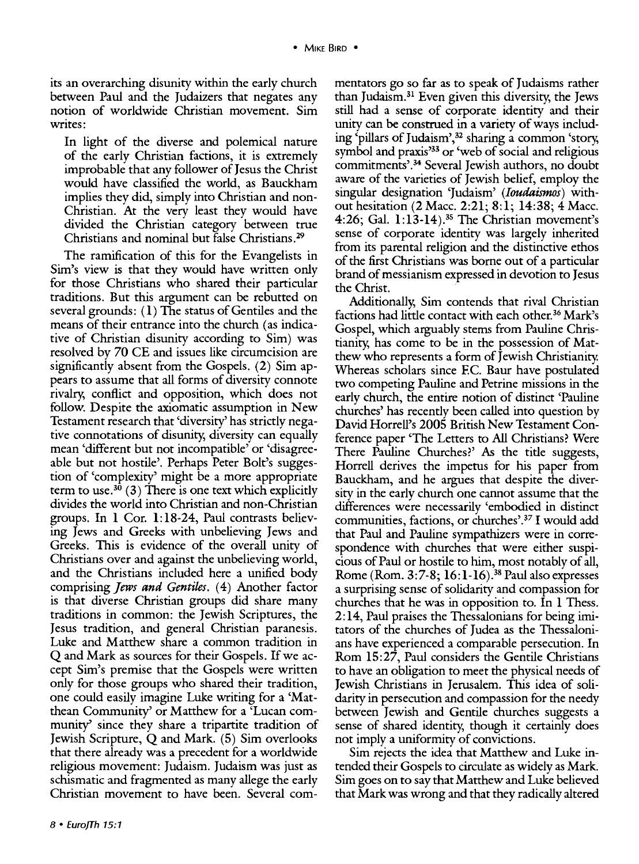its an overarching disunity within the early church between Paul and the Judaizers that negates any notion of worldwide Christian movement. Sim writes:

In light of the diverse and polemical nature of the early Christian factions, it is extremely improbable that any follower of Jesus the Christ would have classified the world, as Bauckham implies they did, simply into Christian and non-Christian. At the very least they would have divided the Christian category between true Christians and nominal but false Christians.29

The ramification of this for the Evangelists in Sim's view is that they would have written only for those Christians who shared their particular traditions. But this argument can be rebutted on several grounds: ( 1) The status of Gentiles and the means of their entrance into the church (as indicative of Christian disunity according to Sim) was resolved by 70 CE and issues like circumcision are significantly absent from the Gospels. (2) Sim appears to assume that all forms of diversity connote rivalry, conflict and opposition, which does not follow. Despite the axiomatic assumption in New Testament research that 'diversity' has strictly negative connotations of disunity, diversity can equally mean 'different but not incompatible' or 'disagreeable but not hostile'. Perhaps Peter Bolt's suggestion of 'complexity' might be a more appropriate term to use.<sup>30</sup> (3) There is one text which explicitly divides the world into Christian and non-Christian groups. In 1 Cor. 1:18-24, Paul contrasts believing Jews and Greeks with unbelieving Jews and Greeks. This is evidence of the overall unity of Christians over and against the unbelieving world, and the Christians included here a unified body comprising *Jews and Gentiles.* ( 4) Another factor is that diverse Christian groups did share many traditions in common: the Jewish Scriptures, the Jesus tradition, and general Christian paranesis. Luke and Matthew share a common tradition in Q and Mark as sources for their Gospels. If we accept Sim's premise that the Gospels were written only for those groups who shared their tradition, one could easily imagine Luke writing for a 'Matthean Community' or Matthew for a 'Lucan community' since they share a tripartite tradition of Jewish Scripture, Q and Mark. (5) Sim overlooks that there already was a precedent for a worldwide religious movement: Judaism. Judaism was just as schismatic and fragmented as many allege the early Christian movement to have been. Several commentators go so far as to speak of Judaisms rather than Judaism.31 Even given this diversity, the Jews still had a sense of corporate identity and their unity can be construed in a variety of ways including 'pillars of Judaism',<sup>32</sup> sharing a common 'story, symbol and praxis<sup>333</sup> or 'web of social and religious commitments'. 34 Several Jewish authors, no doubt aware of the varieties of Jewish belief, employ the singular designation 'Judaism' *(Ioudaismos)* without hesitation (2 Mace. 2:21; 8:1; 14:38; 4 Mace. 4:26; Gal. 1:13-14).35 The Christian movement's sense of corporate identity was largely inherited from its parental religion and the distinctive ethos of the first Christians was borne out of a particular brand of messianism expressed in devotion to Jesus the Christ.

Additionally, Sim contends that rival Christian factions had little contact with each other.<sup>36</sup> Mark's Gospel, which arguably stems from Pauline Christianity, has come to be in the possession of Matthew who represents a form of Jewish Christianity. Whereas scholars since F.C. Baur have postulated two competing Pauline and Petrine missions in the early church, the entire notion of distinct 'Pauline churches' has recently been called into question by David Horrell's 2005 British New Testament Conference paper 'The Letters to All Christians? Were There Pauline Churches?' As the title suggests, Horrell derives the impetus for his paper from Bauckham, and he argues that despite the diversity in the early church one cannot assume that the differences were necessarily 'embodied in distinct communities, factions, or churches'. 37 I would add that Paul and Pauline sympathizers were in correspondence with churches that were either suspicious of Paul or hostile to him, most notably of all, Rome (Rom. 3:7-8; 16:1-16).<sup>38</sup> Paul also expresses a surprising sense of solidarity and compassion for churches that he was in opposition to. In 1 Thess. 2:14, Paul praises the Thessalonians for being imitators of the churches of Judea as the Thessalonians have experienced a comparable persecution. In Rom 15:27, Paul considers the Gentile Christians to have an obligation to meet the physical needs of Jewish Christians in Jerusalem. This idea of solidarity in persecution and compassion for the needy between Jewish and Gentile churches suggests a sense of shared identity, though it certainly does not imply a uniformity of convictions.

Sim rejects the idea that Matthew and Luke intended their Gospels to circulate as widely as Mark. Sim goes on to say that Matthew and Luke believed that Mark was wrong and that they radically altered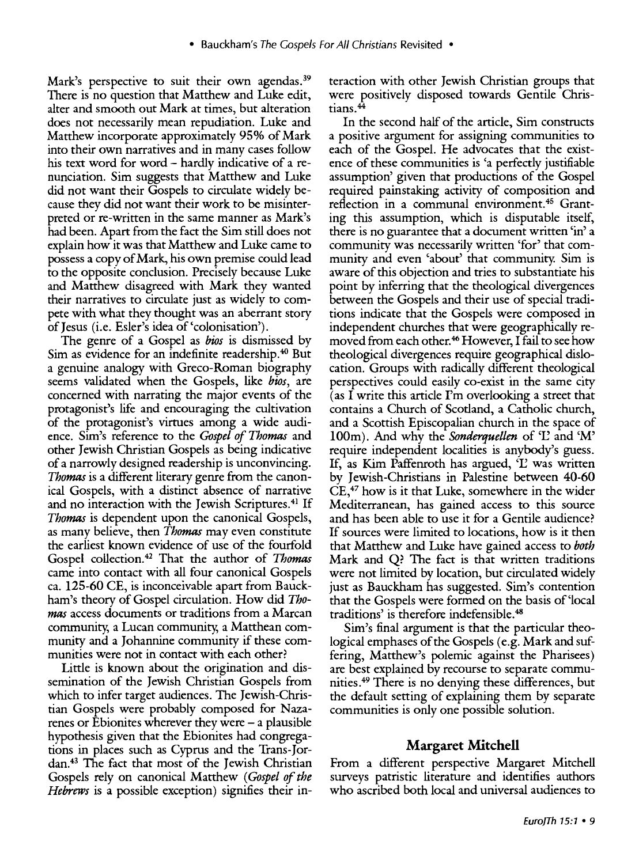Mark's perspective to suit their own agendas.<sup>39</sup> There is no question that Matthew and Luke edit, alter and smooth out Mark at times, but alteration does not necessarily mean repudiation. Luke and Matthew incorporate approximately 95% of Mark into their own narratives and in many cases follow his text word for word – hardly indicative of a renunciation. Sim suggests that Matthew and Luke did not want their Gospels to circulate widely because they did not want their work to be misinterpreted or re-written in the same manner as Mark's had been. Apart from the fact the Sim still does not explain how it was that Matthew and Luke came to possess a copy of Mark, his own premise could lead to the opposite conclusion. Precisely because Luke and Matthew disagreed with Mark they wanted their narratives to circulate just as widely to compete with what they thought was an aberrant story ofJesus (i.e. Esler's idea of'colonisation').

The genre of a Gospel as *bios* is dismissed by Sim as evidence for an indefinite readership. 40 But a genuine analogy with Greco-Roman biography seems validated when the Gospels, like *bios,* are concerned with narrating the major events of the protagonist's life and encouraging the cultivation of the protagonist's virtues among a wide audience. Sim's reference to the *Gospel of Thomas* and other Jewish Christian Gospels as being indicative of a narrowly designed readership is unconvincing. *Thomas* is a different literary genre from the canonical Gospels, with a distinct absence of narrative and no interaction with the Jewish Scriptures.<sup>41</sup> If *Thomas* is dependent upon the canonical Gospels, as many believe, then *Thomas* may even constitute the earliest known evidence of use of the fourfold Gospel collection.42 That the author of *Thomas*  came into contact with all four canonical Gospels ea. 125-60 CE, is inconceivable apart from Bauckham's theory of Gospel circulation. How did *Thomas* access documents or traditions from a Marcan community, a Lucan community, a Matthean community and a Johannine community if these communities were not in contact with each other?

Little is known about the origination and dissemination of the Jewish Christian Gospels from which to infer target audiences. The Jewish-Christian Gospels were probably composed for Nazarenes or Ebionites wherever they were  $-$  a plausible hypothesis given that the Ebionites had congregations in places such as Cyprus and the Trans-Jordan.43 The fact that most of the Jewish Christian Gospels rely on canonical Matthew *(Gospel of the Hebrews* is a possible exception) signifies their interaction with other Jewish Christian groups that were positively disposed towards Gentile Christians.<sup>44</sup>

In the second half of the article, Sim constructs a positive argument for assigning communities to each of the Gospel. He advocates that the existence of these communities is 'a perfectly justifiable assumption' given that productions of the Gospel required painstaking activity of composition and reflection in a communal environment.45 Granting this assumption, which is disputable itself, there is no guarantee that a document written 'in' a community was necessarily written 'for' that community and even 'about' that community. Sim is aware of this objection and tries to substantiate his point by inferring that the theological divergences between the Gospels and their use of special traditions indicate that the Gospels were composed in independent churches that were geographically removed from each other. 46 However, I fail to see how theological divergences require geographical dislocation. Groups with radically different theological perspectives could easily co-exist in the same city (as I write this article  $\Gamma$ m overlooking a street that contains a Church of Scotland, a Catholic church, and a Scottish Episcopalian church in the space of 100m). And why the *Sonderquellen* of 'L' and 'M' require independent localities is anybody's guess. If, as Kim Paffenroth has argued, 'L' was written by Jewish-Christians in Palestine between 40-60 CE,47 how is it that Luke, somewhere in the wider Mediterranean, has gained access to this source and has been able to use it for a Gentile audience? If sources were limited to locations, how is it then that Matthew and Luke have gained access to *both*  Mark and Q? The fact is that written traditions were not limited by location, but circulated widely just as Bauckham has suggested. Sim's contention that the Gospels were formed on the basis of'local traditions' is therefore indefensible.48

Sim's final argument is that the particular theological emphases of the Gospels (e.g. Mark and suffering, Matthew's polemic against the Pharisees) are best explained by recourse to separate communities.49 There is no denying these differences, but the default setting of explaining them by separate communities is only one possible solution.

## **Margaret Mitchell**

From a different perspective Margaret Mitchell surveys patristic literature and identifies authors who ascribed both local and universal audiences to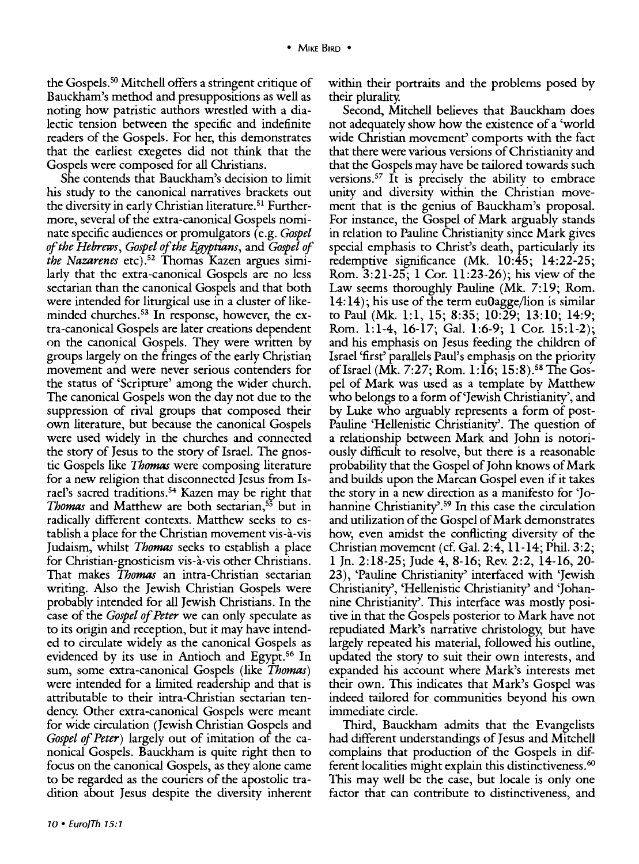the Gospels.<sup>50</sup> Mitchell offers a stringent critique of Bauckham's method and presuppositions as well as noting how patristic authors wrestled with a dialectic tension between the specific and indefinite readers of the Gospels. For her, this demonstrates that the earliest exegetes did not think that the Gospels were composed for all Christians.

She contends that Bauckham's decision to limit his study to the canonical narratives brackets out the diversity in early Christian literature.<sup>51</sup> Furthermore, several of the extra-canonical Gospels nominate specific audiences or promulgators (e.g. *Gospel of the Hebrews, Gospel of the Egyptians,* and *Gospel of the Nazarenes* etc).52 Thomas Kazen argues similarly that the extra-canonical Gospels are no less sectarian than the canonical Gospels and that both were intended for liturgical use in a cluster of likeminded churches.<sup>53</sup> In response, however, the extra-canonical Gospels are later creations dependent on the canonical Gospels. They were written by groups largely on the fringes of the early Christian movement and were never serious contenders for the status of 'Scripture' among the wider church. The canonical Gospels won the day not due to the suppression of rival groups that composed their own literature, but because the canonical Gospels were used widely in the churches and connected the story of Jesus to the story of Israel. The gnostic Gospels like *Thomas* were composing literature for a new religion that disconnected Jesus from Israel's sacred traditions. 54 Kazen may be right that *Thomas* and Matthew are both sectarian,55 but in radically different contexts. Matthew seeks to establish a place for the Christian movement vis-a-vis Judaism, whilst *Thomas* seeks to establish a place for Christian-gnosticism vis-a-vis other Christians. That makes *Thomas* an intra -Christian sectarian writing. Also the Jewish Christian Gospels were probably intended for all Jewish Christians. In the case of the *Gospel of Peter* we can only speculate as to its origin and reception, but it may have intended to circulate widely as the canonical Gospels as evidenced by its use in Antioch and Egypt.<sup>56</sup> In sum, some extra-canonical Gospels (like *Thomas)*  were intended for a limited readership and that is attributable to their intra-Christian sectarian tendency. Other extra-canonical Gospels were meant for wide circulation (Jewish Christian Gospels and *Gospel of Peter)* largely out of imitation of the canonical Gospels. Bauckham is quite right then to focus on the canonical Gospels, as they alone came to be regarded as the couriers of the apostolic tradition about Jesus despite the diversity inherent

within their portraits and the problems posed by their plurality.

Second, Mitchell believes that Bauckham does not adequately show how the existence of a 'world wide Christian movement' comports with the fact that there were various versions of Christianity and that the Gospels may have be tailored towards such versions.<sup>57</sup> It is precisely the ability to embrace unity and diversity within the Christian movement that is the genius of Bauckham's proposal. For instance, the Gospel of Mark arguably stands in relation to Pauline Christianity since Mark gives special emphasis to Christ's death, particularly its redemptive significance (Mk. 10:45; 14:22-25; Rom. 3:21-25; 1 Cor. 11:23-26); his view of the Law seems thoroughly Pauline (Mk. 7:19; Rom. 14: 14); his use of the term euOagge/lion is similar to Paul (Mk. 1:1, 15; 8:35; 10:29; 13:10; 14:9; Rom. 1:1-4, 16-17; Gal. 1:6-9; 1 Cor. 15:1-2); and his emphasis on Jesus feeding the children of Israel 'first' parallels Paul's emphasis on the priority of Israel (Mk. 7:27; Rom.  $1:16$ ; 15:8).<sup>58</sup> The Gospel of Mark was used as a template by Matthew who belongs to a form of'Jewish Christianity', and by Luke who arguably represents a form of post-Pauline 'Hellenistic Christianity'. The question of a relationship between Mark and John is notoriously difficult to resolve, but there is a reasonable probability that the Gospel of John knows of Mark and builds upon the Marcan Gospel even if it takes the story in a new direction as a manifesto for 'Johannine Christianity<sup>2,59</sup> In this case the circulation and utilization of the Gospel of Mark demonstrates how, even amidst the conflicting diversity of the Christian movement (cf. Gal. 2:4, ll-14; Phil. 3:2; 1 Jn. 2:18-25; Jude 4, 8-16; Rev. 2:2, 14-16, 20- 23), 'Pauline Christianity' interfaced with 'Jewish Christianity', 'Hellenistic Christianity' and 'Johannine Christianity'. This interface was mostly positive in that the Gospels posterior to Mark have not repudiated Mark's narrative christology, but have largely repeated his material, followed his outline, updated the story to suit their own interests, and expanded his account where Mark's interests met their own. This indicates that Mark's Gospel was indeed tailored for communities beyond his own immediate circle.

Third, Bauckham admits that the Evangelists had different understandings of Jesus and Mitchell complains that production of the Gospels in different localities might explain this distinctiveness. <sup>60</sup> This may well be the case, but locale is only one factor that can contribute to distinctiveness, and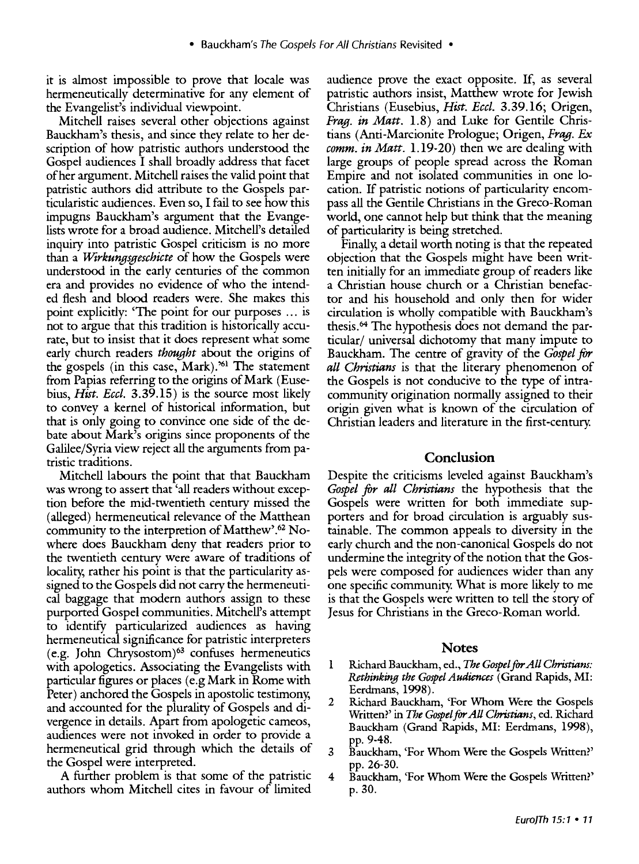it is almost impossible to prove that locale was hermeneutically determinative for any element of the Evangelist's individual viewpoint.

Mitchell raises several other objections against Bauckham's thesis, and since they relate to her description of how patristic authors understood the Gospel audiences I shall broadly address that facet of her argument. Mitchell raises the valid point that patristic authors did attribute to the Gospels particularistic audiences. Even so, I fail to see how this impugns Bauckham's argument that the Evangelists wrote for a broad audience. Mitchell's detailed inquiry into patristic Gospel criticism is no more than a *Wtrkungsgeschicte* of how the Gospels were understood in the early centuries of the common era and provides no evidence of who the intended flesh and blood readers were. She makes this point explicitly: 'The point for our purposes ... is not to argue that this tradition is historically accurate, but to insist that it does represent what some early church readers *thought* about the origins of the gospels (in this case, Mark).'61 The statement from Papias referring to the origins of Mark (Eusebius, *Hist. Eccl.* 3.39.15) is the source most likely to convey a kernel of historical information, but that is only going to convince one side of the debate about Mark's origins since proponents of the Galilee/Syria view reject all the arguments from patristic traditions.

Mitchell labours the point that that Bauckham was wrong to assert that 'all readers without exception before the mid-twentieth century missed the (alleged) hermeneutical relevance of the Matthean community to the interpretion of Matthew'.<sup>62</sup> Nowhere does Bauckham deny that readers prior to the twentieth century were aware of traditions of locality, rather his point is that the particularity assigned to the Gospels did not carry the hermeneutical baggage that modern authors assign to these purported Gospel communities. Mitchell's attempt to identify particularized audiences as having hermeneutical significance for patristic interpreters  $(e.g. John Chrysostom)<sup>63</sup> confuses hermenelities$ with apologetics. Associating the Evangelists with particular figures or places (e.g Mark in Rome with Peter) anchored the Gospels in apostolic testimony, and accounted for the plurality of Gospels and divergence in details. Apart from apologetic cameos, audiences were not invoked in order to provide a hermeneutical grid through which the details of the Gospel were interpreted.

A further problem is that some of the patristic authors whom Mitchell cites in favour of limited audience prove the exact opposite. If, as several patristic authors insist, Matthew wrote for Jewish Christians (Eusebius, *Hist. Eccl.* 3.39.16; Origen, *Frag. in Matt.* 1.8) and Luke for Gentile Christians (Anti-Marcionite Prologue; Origen, *Frag.* Ex *comm. in Matt.* 1.19-20) then we are dealing with large groups of people spread across the Roman Empire and not isolated communities in one location. If patristic notions of particularity encompass all the Gentile Christians in the Greco-Roman world, one cannot help but think that the meaning of particularity is being stretched.

Finally, a detail worth noting is that the repeated objection that the Gospels might have been written initially for an immediate group of readers like a Christian house church or a Christian benefactor and his household and only then for wider circulation is wholly compatible with Bauckham's thesis. 64 The hypothesis does not demand the particular/ universal dichotomy that many impute to Bauckham. The centre of gravity of the *Gospel* for *all Christians* is that the literary phenomenon of the Gospels is not conducive to the type of intracommunity origination normally assigned to their origin given what is known of the circulation of Christian leaders and literature in the first-century.

#### **Conclusion**

Despite the criticisms leveled against Bauckham's *Gospel for all Christians* the hypothesis that the Gospels were written for both immediate supporters and for broad circulation is arguably sustainable. The common appeals to diversity in the early church and the non-canonical Gospels do not undermine the integrity of the notion that the Gospels were composed for audiences wider than any one specific community. What is more likely to me is that the Gospels were written to tell the story of Jesus for Christians in the Greco-Roman world.

#### **Notes**

- 1 Richard Bauckham, ed., *The Gospel* for *All Christians: Rethinking the Gospel Audiences* (Grand Rapids, MI: Eerdmans, 1998).
- 2 Richard Bauckham, 'For Whom Were the Gospels Written?' in *The Gospel* for *All Christians,* ed. Richard Bauckham (Grand Rapids, MI: Eerdmans, 1998), pp. 9-48.
- 3 Bauckham, 'For Whom Were the Gospels Written?' pp. 26-30.
- 4 Bauckham, 'For Whom Were the Gospels Written?' p. 30.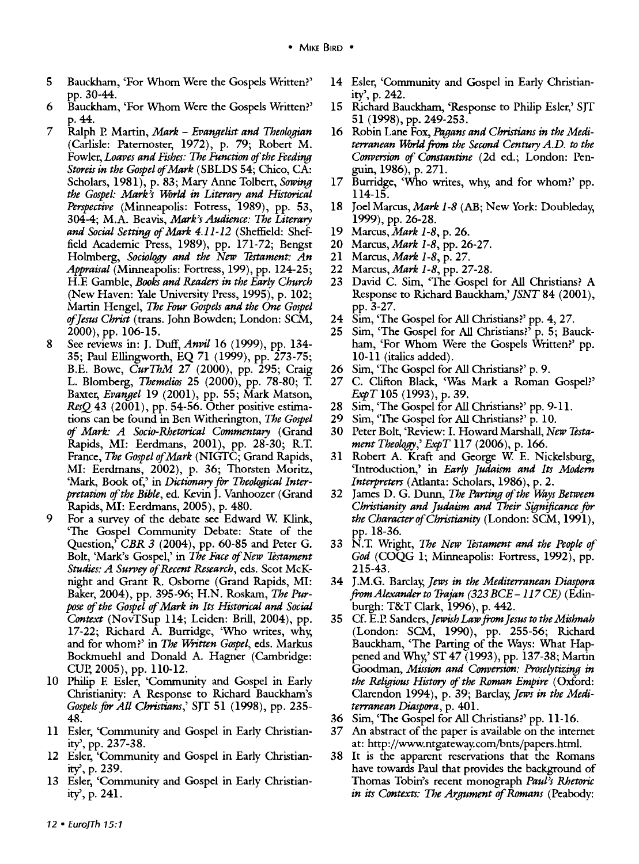- 5 Bauckham, 'For Whom Were the Gospels Written?' pp. 30-44.
- 6 Bauckham, 'For Whom Were the Gospels Written?' p.44.
- 7 Ralph P. Martin, *Mark Evangelist and Theologian*  (Carlisle: Paternoster, 1972), p. 79; Robert M. Fowler, *Loaves and Fishes: The Function of the Feeding Storeis in the Gospel of Mark* ( SBLDS 54; Chico, CA: Scholars, 1981), p. 83; Mary Anne Tolbert, *Sowing*  the Gospel: Mark<sup>3</sup>s World in Literary and Historical *Perspective* (Minneapolis: Fotress, 1989), pp. 53, 304-4; M.A. Beavis, *Mark's Audience: The Literary and Social Setting of Mark* 4.11-12 (Sheffield: Sheffield Academic Press, 1989), pp. 171-72; Bengst Holmberg, *Sociology and the New Testament: An Appraisal* (Minneapolis: Fortress, 199), pp. 124-25; H.E Gamble, *Books and Readers in the Early Church*  (New Haven: Yale University Press, 1995), p. 102; Martin Hengel, *The Four Gospels and the One Gospel of Jesus Christ* (trans. John Bowden; London: SCM, 2000), pp. 106-15.
- 8 See reviews in: J. Duff, Anvil 16 (1999), pp. 134-35; Paul Ellingworth, EQ 7l (1999), pp. 273-75; B.E. Bowe, *CurThM* 27 (2000), pp. 295; Craig L. Blomberg, *Themelios* 25 (2000), pp. 78-80; T. Baxter, *Evangel* 19 (2001), pp. 55; Mark Matson, *ResQ* 43 (2001), pp. 54-56. Other positive estimations can be found in Ben Witherington, *The Gospel of Mark: A Socio-Rhetorical Commentary* (Grand Rapids, MI: Eerdmans, 2001), pp. 28-30; R.T. France, *The Gospel of Mark* (NIGTC; Grand Rapids, MI: Eerdmans, 2002), p. 36; Thorsten Moritz, 'Mark, Book of,' in *Dictionary for Theological Interpretation* of *the Bible,* ed. Kevin J. Vanhoozer (Grand Rapids, MI: Eerdmans, 2005), p. 480.
- 9 For a survey of the debate see Edward W. Klink, 'The Gospel Community Debate: State of the Question,' *CBR 3* (2004), pp. 60-85 and Peter G. Bolt, 'Mark's Gospel,' in *The Face of New Testament Studies: A Surrey of Recent Research,* eds. Scat McKnight and Grant R. Osbome (Grand Rapids, MI: Baker, 2004), pp. 395-96; H.N. Roskam, *The Purpose of the Gospel* of *Mark in Its Historical and Social Context* (NovTSup 114; Leiden: Brill, 2004), pp. 17-22; Richard A. Burridge, 'Who writes, why, and for whom?' in *The Written Gospel,* eds. Markus Bockmuehl and Donald A. Hagner (Cambridge: CUP, 2005), pp. 110-12.
- 10 Philip E Esler, 'Community and Gospel in Early Christianity: A Response to Richard Bauckham's *Gospels for All Christians,'* SJT 51 (1998), pp. 235- 48.
- 11 Esler, 'Community and Gospel in Early Christianity', pp. 237-38.
- 12 Esler, 'Community and Gospel in Early Christianity', p. 239.
- 13 Esler, 'Community and Gospel in Early Christianity', p. 241.
- 14 Esler, 'Community and Gospel in Early Christianity', p. 242.
- 15 Richard Bauckham, 'Response to Philip Esler,' SJT 51 (1998), pp. 249-253.
- 16 Robin Lane Fox, *Pagans and Christians in the Mediterranean World from the Second Century A.D. to the Conversion of Constantine* (2d ed.; London: Penguin, 1986), p. 271.
- 17 Burridge, 'Who writes, why, and for whom?' pp. 114-15.
- 18 Joel Marcus, *Mark 1-8* (AB; New York: Doubleday, 1999), pp. 26-28.
- 19 *Marcus,Mark 1-8,* p. 26.
- 20 *Marcus,Mark 1-8,* pp. 26-27.
- 21 *Marcus,Mark 1-8,* p. 27.
- 22 *Marcus,Mark 1-8,* pp. 27-28.
- 23 David C. Sim, 'The Gospel for All Christians? A Response to Richard Bauckham,' *JSNT* 84 (2001), pp. 3-27.
- 24 Sim, 'The Gospel for All Christians?' pp. 4, 27.
- 25 Sim, 'The Gospel for All Christians?' p. 5; Bauckham, 'For Whom Were the Gospels Written?' pp. 10-11 (italics added).
- 26 Sim, 'The Gospel for All Christians?' p. 9.
- 27 C. Clifton Black, 'Was Mark a Roman Gospel?' *ExpT* 105 (1993), p. 39.
- 28 Sim, 'The Gospel for All Christians?' pp. 9-11.
- 29 Sim, 'The Gospel for All Christians?' p. 10.
- 30 Peter Bolt, 'Review: I. Howard Marshall, *New Testament Theology,' ExpT* 117 (2006), p. 166.
- 31 Robert A. Kraft and George W. E. Nickelsburg, 'Introduction,' in *Early Judaism and Its Modern Interpreters* (Atlanta: Scholars, 1986), p. 2.
- 32 James D. G. Dunn, *The Parting of the Ways Between Christianity and Judaism and Their Significance for the CharacterofChristianity* (London: SCM, 1991), pp. 18-36.
- 33 N.T. Wright, *The New Testament and the People of God* (COQG 1; Minneapolis: Fortress, 1992), pp. 215-43.
- 34 J.M.G. Barclay, *Jews in the Mediterranean Diaspora from Alexander to Trajan (323 BCE* -117 *CB)* (Edinburgh: T&T Clark, 1996), p. 442.
- 35 Cf. E.P. Sanders, Jewish Law from Jesus to the Mishnah (London: SCM, 1990), pp. 255-56; Richard Bauckham, 'The Parting of the Ways: What Happened and Why,' ST 47 (1993), pp. 137-38; Martin Goodman, *Mission and Conversion: Proselytizing in the Religious History of the Roman Empire* (Oxford: Clarendon 1994), p. 39; Barclay, Jews in the Medi*terranean Diaspora,* p. 401.
- 36 Sim, 'The Gospel for All Christians?' pp. 11-16.
- 37 An abstract of the paper is available on the intemet at: http://www.ntgateway.com/bnts/papers.htrnl.
- 38 It is the apparent reservations that the Romans have towards Paul that provides the background of Thomas Tobin's recent monograph *Paul)s Rhetoric in its Contexts: The Argument of Romans* (Peabody: